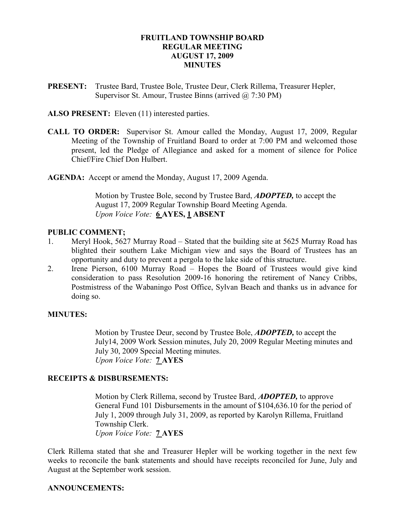## FRUITLAND TOWNSHIP BOARD REGULAR MEETING AUGUST 17, 2009 **MINUTES**

PRESENT: Trustee Bard, Trustee Bole, Trustee Deur, Clerk Rillema, Treasurer Hepler, Supervisor St. Amour, Trustee Binns (arrived @ 7:30 PM)

ALSO PRESENT: Eleven (11) interested parties.

CALL TO ORDER: Supervisor St. Amour called the Monday, August 17, 2009, Regular Meeting of the Township of Fruitland Board to order at 7:00 PM and welcomed those present, led the Pledge of Allegiance and asked for a moment of silence for Police Chief/Fire Chief Don Hulbert.

AGENDA: Accept or amend the Monday, August 17, 2009 Agenda.

Motion by Trustee Bole, second by Trustee Bard, **ADOPTED**, to accept the August 17, 2009 Regular Township Board Meeting Agenda. Upon Voice Vote: 6 AYES, 1 ABSENT

#### PUBLIC COMMENT;

- 1. Meryl Hook, 5627 Murray Road Stated that the building site at 5625 Murray Road has blighted their southern Lake Michigan view and says the Board of Trustees has an opportunity and duty to prevent a pergola to the lake side of this structure.
- 2. Irene Pierson, 6100 Murray Road Hopes the Board of Trustees would give kind consideration to pass Resolution 2009-16 honoring the retirement of Nancy Cribbs, Postmistress of the Wabaningo Post Office, Sylvan Beach and thanks us in advance for doing so.

### MINUTES:

Motion by Trustee Deur, second by Trustee Bole, **ADOPTED**, to accept the July14, 2009 Work Session minutes, July 20, 2009 Regular Meeting minutes and July 30, 2009 Special Meeting minutes. Upon Voice Vote: 7 AYES

#### RECEIPTS & DISBURSEMENTS:

 Motion by Clerk Rillema, second by Trustee Bard, ADOPTED, to approve General Fund 101 Disbursements in the amount of \$104,636.10 for the period of July 1, 2009 through July 31, 2009, as reported by Karolyn Rillema, Fruitland Township Clerk. Upon Voice Vote: 7 AYES

Clerk Rillema stated that she and Treasurer Hepler will be working together in the next few weeks to reconcile the bank statements and should have receipts reconciled for June, July and August at the September work session.

### ANNOUNCEMENTS: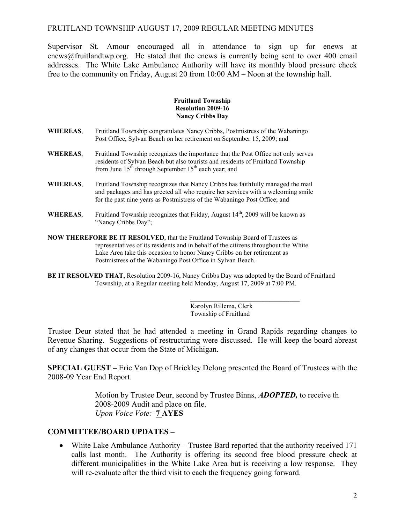Supervisor St. Amour encouraged all in attendance to sign up for enews at enews@fruitlandtwp.org. He stated that the enews is currently being sent to over 400 email addresses. The White Lake Ambulance Authority will have its monthly blood pressure check free to the community on Friday, August 20 from 10:00 AM – Noon at the township hall.

#### Fruitland Township Resolution 2009-16 Nancy Cribbs Day

- WHEREAS, Fruitland Township congratulates Nancy Cribbs, Postmistress of the Wabaningo Post Office, Sylvan Beach on her retirement on September 15, 2009; and
- WHEREAS, Fruitland Township recognizes the importance that the Post Office not only serves residents of Sylvan Beach but also tourists and residents of Fruitland Township from June  $15<sup>th</sup>$  through September  $15<sup>th</sup>$  each year; and
- WHEREAS, Fruitland Township recognizes that Nancy Cribbs has faithfully managed the mail and packages and has greeted all who require her services with a welcoming smile for the past nine years as Postmistress of the Wabaningo Post Office; and
- WHEREAS, Fruitland Township recognizes that Friday, August  $14<sup>th</sup>$ , 2009 will be known as "Nancy Cribbs Day";
- NOW THEREFORE BE IT RESOLVED, that the Fruitland Township Board of Trustees as representatives of its residents and in behalf of the citizens throughout the White Lake Area take this occasion to honor Nancy Cribbs on her retirement as Postmistress of the Wabaningo Post Office in Sylvan Beach.
- BE IT RESOLVED THAT, Resolution 2009-16, Nancy Cribbs Day was adopted by the Board of Fruitland Township, at a Regular meeting held Monday, August 17, 2009 at 7:00 PM.

 $\frac{1}{\sqrt{2}}$  , and the set of the set of the set of the set of the set of the set of the set of the set of the set of the set of the set of the set of the set of the set of the set of the set of the set of the set of the Karolyn Rillema, Clerk Township of Fruitland

Trustee Deur stated that he had attended a meeting in Grand Rapids regarding changes to Revenue Sharing. Suggestions of restructuring were discussed. He will keep the board abreast of any changes that occur from the State of Michigan.

SPECIAL GUEST – Eric Van Dop of Brickley Delong presented the Board of Trustees with the 2008-09 Year End Report.

> Motion by Trustee Deur, second by Trustee Binns, **ADOPTED**, to receive th 2008-2009 Audit and place on file. Upon Voice Vote: 7 AYES

### COMMITTEE/BOARD UPDATES –

• White Lake Ambulance Authority – Trustee Bard reported that the authority received 171 calls last month. The Authority is offering its second free blood pressure check at different municipalities in the White Lake Area but is receiving a low response. They will re-evaluate after the third visit to each the frequency going forward.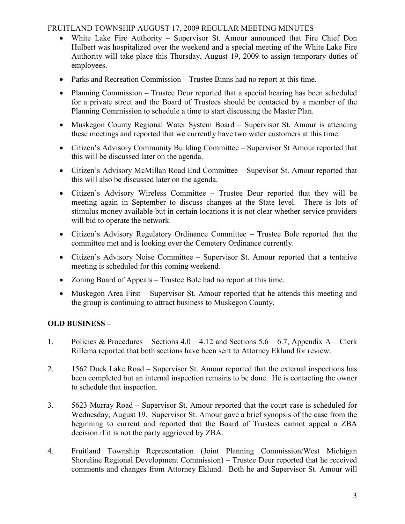- White Lake Fire Authority Supervisor St. Amour announced that Fire Chief Don Hulbert was hospitalized over the weekend and a special meeting of the White Lake Fire Authority will take place this Thursday, August 19, 2009 to assign temporary duties of employees.
- Parks and Recreation Commission Trustee Binns had no report at this time.
- Planning Commission Trustee Deur reported that a special hearing has been scheduled for a private street and the Board of Trustees should be contacted by a member of the Planning Commission to schedule a time to start discussing the Master Plan.
- Muskegon County Regional Water System Board Supervisor St. Amour is attending these meetings and reported that we currently have two water customers at this time.
- Citizen's Advisory Community Building Committee Supervisor St Amour reported that this will be discussed later on the agenda.
- Citizen's Advisory McMillan Road End Committee Supevisor St. Amour reported that this will also be discussed later on the agenda.
- Citizen's Advisory Wireless Committee Trustee Deur reported that they will be meeting again in September to discuss changes at the State level. There is lots of stimulus money available but in certain locations it is not clear whether service providers will bid to operate the network.
- Citizen's Advisory Regulatory Ordinance Committee Trustee Bole reported that the committee met and is looking over the Cemetery Ordinance currently.
- Citizen's Advisory Noise Committee Supervisor St. Amour reported that a tentative meeting is scheduled for this coming weekend.
- Zoning Board of Appeals Trustee Bole had no report at this time.
- Muskegon Area First Supervisor St. Amour reported that he attends this meeting and the group is continuing to attract business to Muskegon County.

# OLD BUSINESS –

- 1. Policies & Procedures Sections  $4.0 4.12$  and Sections  $5.6 6.7$ , Appendix A Clerk Rillema reported that both sections have been sent to Attorney Eklund for review.
- 2. 1562 Duck Lake Road Supervisor St. Amour reported that the external inspections has been completed but an internal inspection remains to be done. He is contacting the owner to schedule that inspection.
- 3. 5623 Murray Road Supervisor St. Amour reported that the court case is scheduled for Wednesday, August 19. Supervisor St. Amour gave a brief synopsis of the case from the beginning to current and reported that the Board of Trustees cannot appeal a ZBA decision if it is not the party aggrieved by ZBA.
- 4. Fruitland Township Representation (Joint Planning Commission/West Michigan Shoreline Regional Development Commission) – Trustee Deur reported that he received comments and changes from Attorney Eklund. Both he and Supervisor St. Amour will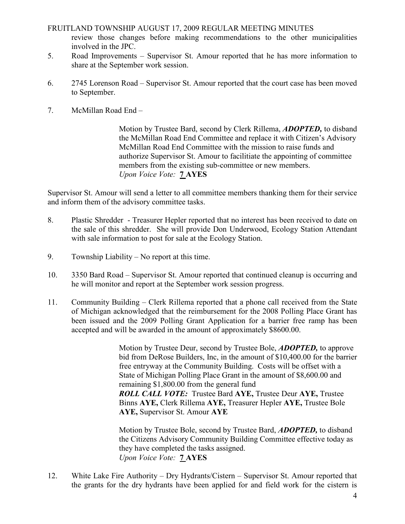review those changes before making recommendations to the other municipalities involved in the JPC.

- 5. Road Improvements Supervisor St. Amour reported that he has more information to share at the September work session.
- 6. 2745 Lorenson Road Supervisor St. Amour reported that the court case has been moved to September.
- 7. McMillan Road End –

 Motion by Trustee Bard, second by Clerk Rillema, ADOPTED, to disband the McMillan Road End Committee and replace it with Citizen's Advisory McMillan Road End Committee with the mission to raise funds and authorize Supervisor St. Amour to facilitiate the appointing of committee members from the existing sub-committee or new members. Upon Voice Vote: **7 AYES** 

Supervisor St. Amour will send a letter to all committee members thanking them for their service and inform them of the advisory committee tasks.

- 8. Plastic Shredder Treasurer Hepler reported that no interest has been received to date on the sale of this shredder. She will provide Don Underwood, Ecology Station Attendant with sale information to post for sale at the Ecology Station.
- 9. Township Liability No report at this time.
- 10. 3350 Bard Road Supervisor St. Amour reported that continued cleanup is occurring and he will monitor and report at the September work session progress.
- 11. Community Building Clerk Rillema reported that a phone call received from the State of Michigan acknowledged that the reimbursement for the 2008 Polling Place Grant has been issued and the 2009 Polling Grant Application for a barrier free ramp has been accepted and will be awarded in the amount of approximately \$8600.00.

Motion by Trustee Deur, second by Trustee Bole, **ADOPTED**, to approve bid from DeRose Builders, Inc, in the amount of \$10,400.00 for the barrier free entryway at the Community Building. Costs will be offset with a State of Michigan Polling Place Grant in the amount of \$8,600.00 and remaining \$1,800.00 from the general fund ROLL CALL VOTE: Trustee Bard AYE, Trustee Deur AYE, Trustee Binns AYE, Clerk Rillema AYE, Treasurer Hepler AYE, Trustee Bole AYE, Supervisor St. Amour AYE

 Motion by Trustee Bole, second by Trustee Bard, ADOPTED, to disband the Citizens Advisory Community Building Committee effective today as they have completed the tasks assigned. Upon Voice Vote: 7 AYES

12. White Lake Fire Authority – Dry Hydrants/Cistern – Supervisor St. Amour reported that the grants for the dry hydrants have been applied for and field work for the cistern is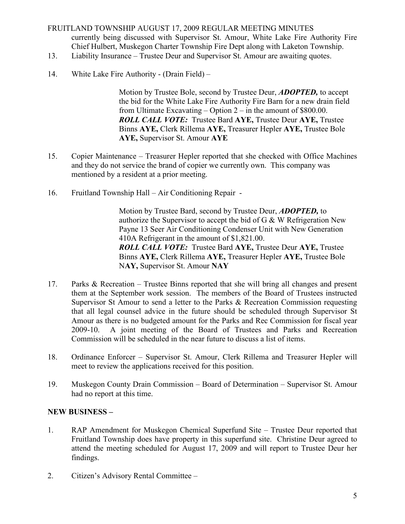# FRUITLAND TOWNSHIP AUGUST 17, 2009 REGULAR MEETING MINUTES currently being discussed with Supervisor St. Amour, White Lake Fire Authority Fire Chief Hulbert, Muskegon Charter Township Fire Dept along with Laketon Township.

- 13. Liability Insurance Trustee Deur and Supervisor St. Amour are awaiting quotes.
- 14. White Lake Fire Authority (Drain Field) –

 Motion by Trustee Bole, second by Trustee Deur, ADOPTED, to accept the bid for the White Lake Fire Authority Fire Barn for a new drain field from Ultimate Excavating – Option 2 – in the amount of \$800.00. ROLL CALL VOTE: Trustee Bard AYE, Trustee Deur AYE, Trustee Binns AYE, Clerk Rillema AYE, Treasurer Hepler AYE, Trustee Bole AYE, Supervisor St. Amour AYE

- 15. Copier Maintenance Treasurer Hepler reported that she checked with Office Machines and they do not service the brand of copier we currently own. This company was mentioned by a resident at a prior meeting.
- 16. Fruitland Township Hall Air Conditioning Repair -

Motion by Trustee Bard, second by Trustee Deur, **ADOPTED**, to authorize the Supervisor to accept the bid of G & W Refrigeration New Payne 13 Seer Air Conditioning Condenser Unit with New Generation 410A Refrigerant in the amount of \$1,821.00. ROLL CALL VOTE: Trustee Bard AYE, Trustee Deur AYE, Trustee Binns AYE, Clerk Rillema AYE, Treasurer Hepler AYE, Trustee Bole NAY, Supervisor St. Amour NAY

- 17. Parks & Recreation Trustee Binns reported that she will bring all changes and present them at the September work session. The members of the Board of Trustees instructed Supervisor St Amour to send a letter to the Parks & Recreation Commission requesting that all legal counsel advice in the future should be scheduled through Supervisor St Amour as there is no budgeted amount for the Parks and Rec Commission for fiscal year 2009-10. A joint meeting of the Board of Trustees and Parks and Recreation Commission will be scheduled in the near future to discuss a list of items.
- 18. Ordinance Enforcer Supervisor St. Amour, Clerk Rillema and Treasurer Hepler will meet to review the applications received for this position.
- 19. Muskegon County Drain Commission Board of Determination Supervisor St. Amour had no report at this time.

# NEW BUSINESS –

- 1. RAP Amendment for Muskegon Chemical Superfund Site Trustee Deur reported that Fruitland Township does have property in this superfund site. Christine Deur agreed to attend the meeting scheduled for August 17, 2009 and will report to Trustee Deur her findings.
- 2. Citizen's Advisory Rental Committee –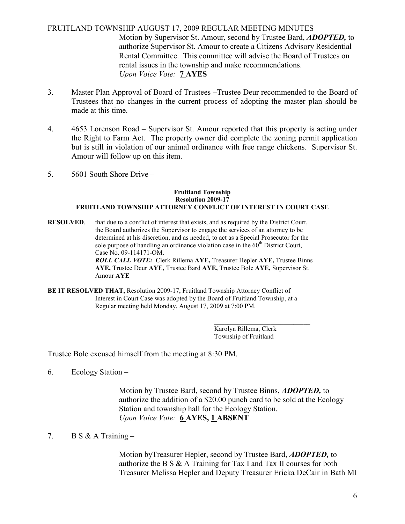## FRUITLAND TOWNSHIP AUGUST 17, 2009 REGULAR MEETING MINUTES Motion by Supervisor St. Amour, second by Trustee Bard, ADOPTED, to authorize Supervisor St. Amour to create a Citizens Advisory Residential Rental Committee. This committee will advise the Board of Trustees on rental issues in the township and make recommendations. Upon Voice Vote: 7 AYES

- 3. Master Plan Approval of Board of Trustees –Trustee Deur recommended to the Board of Trustees that no changes in the current process of adopting the master plan should be made at this time.
- 4. 4653 Lorenson Road Supervisor St. Amour reported that this property is acting under the Right to Farm Act. The property owner did complete the zoning permit application but is still in violation of our animal ordinance with free range chickens. Supervisor St. Amour will follow up on this item.
- 5. 5601 South Shore Drive –

#### Fruitland Township Resolution 2009-17 FRUITLAND TOWNSHIP ATTORNEY CONFLICT OF INTEREST IN COURT CASE

RESOLVED, that due to a conflict of interest that exists, and as required by the District Court, the Board authorizes the Supervisor to engage the services of an attorney to be determined at his discretion, and as needed, to act as a Special Prosecutor for the sole purpose of handling an ordinance violation case in the  $60<sup>th</sup>$  District Court, Case No. 09-114171-OM.

 ROLL CALL VOTE: Clerk Rillema AYE, Treasurer Hepler AYE, Trustee Binns AYE, Trustee Deur AYE, Trustee Bard AYE, Trustee Bole AYE, Supervisor St. Amour AYE

BE IT RESOLVED THAT, Resolution 2009-17, Fruitland Township Attorney Conflict of Interest in Court Case was adopted by the Board of Fruitland Township, at a Regular meeting held Monday, August 17, 2009 at 7:00 PM.

 $\frac{1}{\sqrt{2}}$  , and the set of the set of the set of the set of the set of the set of the set of the set of the set of the set of the set of the set of the set of the set of the set of the set of the set of the set of the Karolyn Rillema, Clerk Township of Fruitland

Trustee Bole excused himself from the meeting at 8:30 PM.

6. Ecology Station –

 Motion by Trustee Bard, second by Trustee Binns, ADOPTED, to authorize the addition of a \$20.00 punch card to be sold at the Ecology Station and township hall for the Ecology Station. Upon Voice Vote: 6 AYES, 1 ABSENT

7. B S & A Training  $-$ 

Motion by Treasurer Hepler, second by Trustee Bard, **ADOPTED**, to authorize the B S & A Training for Tax I and Tax II courses for both Treasurer Melissa Hepler and Deputy Treasurer Ericka DeCair in Bath MI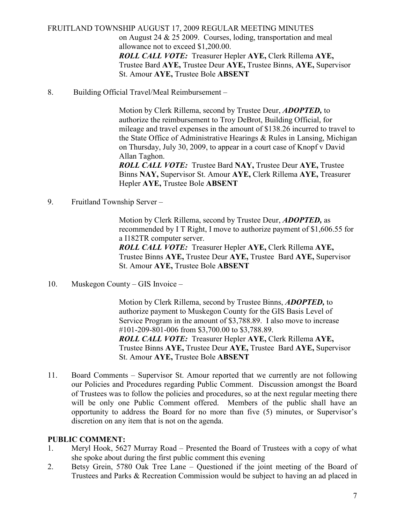FRUITLAND TOWNSHIP AUGUST 17, 2009 REGULAR MEETING MINUTES on August 24 & 25 2009. Courses, loding, transportation and meal allowance not to exceed \$1,200.00. ROLL CALL VOTE: Treasurer Hepler AYE, Clerk Rillema AYE, Trustee Bard AYE, Trustee Deur AYE, Trustee Binns, AYE, Supervisor St. Amour AYE, Trustee Bole ABSENT

8. Building Official Travel/Meal Reimbursement –

 Motion by Clerk Rillema, second by Trustee Deur, ADOPTED, to authorize the reimbursement to Troy DeBrot, Building Official, for mileage and travel expenses in the amount of \$138.26 incurred to travel to the State Office of Administrative Hearings & Rules in Lansing, Michigan on Thursday, July 30, 2009, to appear in a court case of Knopf v David Allan Taghon.

 ROLL CALL VOTE: Trustee Bard NAY, Trustee Deur AYE, Trustee Binns NAY, Supervisor St. Amour AYE, Clerk Rillema AYE, Treasurer Hepler AYE, Trustee Bole ABSENT

9. Fruitland Township Server –

 Motion by Clerk Rillema, second by Trustee Deur, ADOPTED, as recommended by I T Right, I move to authorize payment of \$1,606.55 for a I182TR computer server.

 ROLL CALL VOTE: Treasurer Hepler AYE, Clerk Rillema AYE, Trustee Binns AYE, Trustee Deur AYE, Trustee Bard AYE, Supervisor St. Amour AYE, Trustee Bole ABSENT

10. Muskegon County – GIS Invoice –

 Motion by Clerk Rillema, second by Trustee Binns, ADOPTED, to authorize payment to Muskegon County for the GIS Basis Level of Service Program in the amount of \$3,788.89. I also move to increase #101-209-801-006 from \$3,700.00 to \$3,788.89. ROLL CALL VOTE: Treasurer Hepler AYE, Clerk Rillema AYE, Trustee Binns AYE, Trustee Deur AYE, Trustee Bard AYE, Supervisor St. Amour AYE, Trustee Bole ABSENT

11. Board Comments – Supervisor St. Amour reported that we currently are not following our Policies and Procedures regarding Public Comment. Discussion amongst the Board of Trustees was to follow the policies and procedures, so at the next regular meeting there will be only one Public Comment offered. Members of the public shall have an opportunity to address the Board for no more than five (5) minutes, or Supervisor's discretion on any item that is not on the agenda.

# PUBLIC COMMENT:

- 1. Meryl Hook, 5627 Murray Road Presented the Board of Trustees with a copy of what she spoke about during the first public comment this evening
- 2. Betsy Grein, 5780 Oak Tree Lane Questioned if the joint meeting of the Board of Trustees and Parks & Recreation Commission would be subject to having an ad placed in